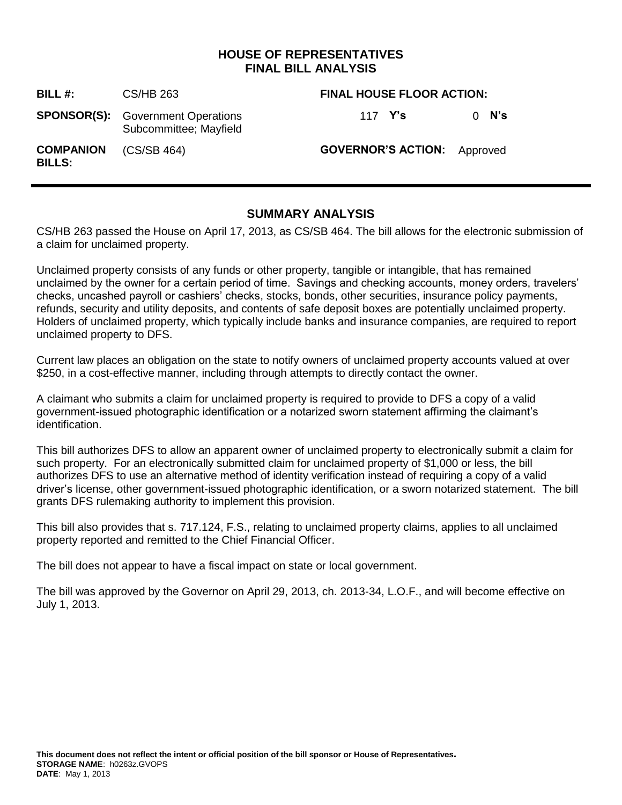# **HOUSE OF REPRESENTATIVES FINAL BILL ANALYSIS**

| BILL #:                           | CS/HB 263                                                          | <b>FINAL HOUSE FLOOR ACTION:</b>   |  |         |
|-----------------------------------|--------------------------------------------------------------------|------------------------------------|--|---------|
|                                   | <b>SPONSOR(S):</b> Government Operations<br>Subcommittee; Mayfield | 117 Y's                            |  | $0$ N's |
| <b>COMPANION</b><br><b>BILLS:</b> | (CS/SB 464)                                                        | <b>GOVERNOR'S ACTION:</b> Approved |  |         |

# **SUMMARY ANALYSIS**

CS/HB 263 passed the House on April 17, 2013, as CS/SB 464. The bill allows for the electronic submission of a claim for unclaimed property.

Unclaimed property consists of any funds or other property, tangible or intangible, that has remained unclaimed by the owner for a certain period of time. Savings and checking accounts, money orders, travelers' checks, uncashed payroll or cashiers' checks, stocks, bonds, other securities, insurance policy payments, refunds, security and utility deposits, and contents of safe deposit boxes are potentially unclaimed property. Holders of unclaimed property, which typically include banks and insurance companies, are required to report unclaimed property to DFS.

Current law places an obligation on the state to notify owners of unclaimed property accounts valued at over \$250, in a cost-effective manner, including through attempts to directly contact the owner.

A claimant who submits a claim for unclaimed property is required to provide to DFS a copy of a valid government-issued photographic identification or a notarized sworn statement affirming the claimant's identification.

This bill authorizes DFS to allow an apparent owner of unclaimed property to electronically submit a claim for such property. For an electronically submitted claim for unclaimed property of \$1,000 or less, the bill authorizes DFS to use an alternative method of identity verification instead of requiring a copy of a valid driver's license, other government-issued photographic identification, or a sworn notarized statement. The bill grants DFS rulemaking authority to implement this provision.

This bill also provides that s. 717.124, F.S., relating to unclaimed property claims, applies to all unclaimed property reported and remitted to the Chief Financial Officer.

The bill does not appear to have a fiscal impact on state or local government.

The bill was approved by the Governor on April 29, 2013, ch. 2013-34, L.O.F., and will become effective on July 1, 2013.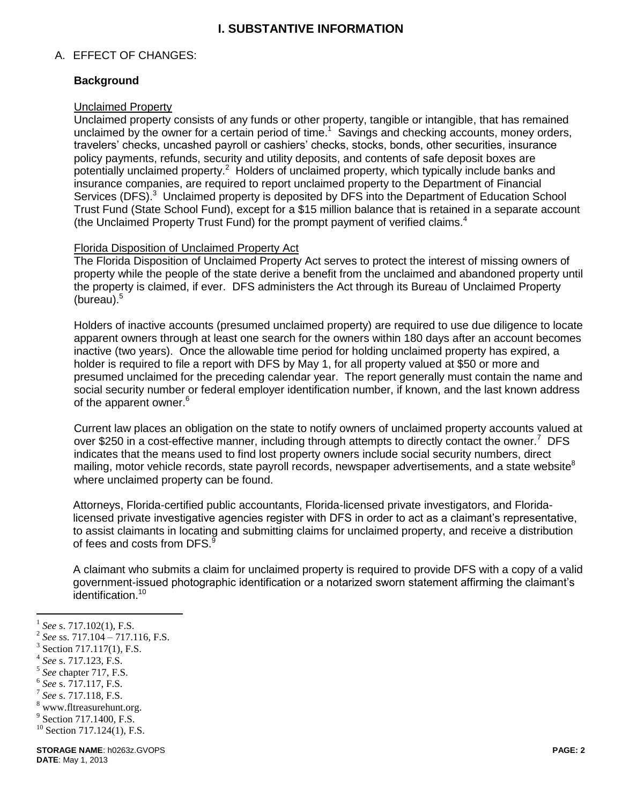# **I. SUBSTANTIVE INFORMATION**

#### A. EFFECT OF CHANGES:

#### **Background**

#### Unclaimed Property

Unclaimed property consists of any funds or other property, tangible or intangible, that has remained unclaimed by the owner for a certain period of time.<sup>1</sup> Savings and checking accounts, money orders, travelers' checks, uncashed payroll or cashiers' checks, stocks, bonds, other securities, insurance policy payments, refunds, security and utility deposits, and contents of safe deposit boxes are potentially unclaimed property.<sup>2</sup> Holders of unclaimed property, which typically include banks and insurance companies, are required to report unclaimed property to the Department of Financial Services (DFS).<sup>3</sup> Unclaimed property is deposited by DFS into the Department of Education School Trust Fund (State School Fund), except for a \$15 million balance that is retained in a separate account (the Unclaimed Property Trust Fund) for the prompt payment of verified claims.<sup>4</sup>

# Florida Disposition of Unclaimed Property Act

The Florida Disposition of Unclaimed Property Act serves to protect the interest of missing owners of property while the people of the state derive a benefit from the unclaimed and abandoned property until the property is claimed, if ever. DFS administers the Act through its Bureau of Unclaimed Property (bureau). $5$ 

Holders of inactive accounts (presumed unclaimed property) are required to use due diligence to locate apparent owners through at least one search for the owners within 180 days after an account becomes inactive (two years). Once the allowable time period for holding unclaimed property has expired, a holder is required to file a report with DFS by May 1, for all property valued at \$50 or more and presumed unclaimed for the preceding calendar year. The report generally must contain the name and social security number or federal employer identification number, if known, and the last known address of the apparent owner.<sup>6</sup>

Current law places an obligation on the state to notify owners of unclaimed property accounts valued at over \$250 in a cost-effective manner, including through attempts to directly contact the owner.<sup>7</sup> DFS indicates that the means used to find lost property owners include social security numbers, direct mailing, motor vehicle records, state payroll records, newspaper advertisements, and a state website $^8$ where unclaimed property can be found.

Attorneys, Florida-certified public accountants, Florida-licensed private investigators, and Floridalicensed private investigative agencies register with DFS in order to act as a claimant's representative, to assist claimants in locating and submitting claims for unclaimed property, and receive a distribution of fees and costs from DFS.<sup>9</sup>

A claimant who submits a claim for unclaimed property is required to provide DFS with a copy of a valid government-issued photographic identification or a notarized sworn statement affirming the claimant's identification.<sup>10</sup>

4 *See* s. 717.123, F.S.

 $\overline{a}$ 

- 5 *See* chapter 717, F.S.
- 6 *See* s. 717.117, F.S.
- 7 *See* s. 717.118, F.S.
- $8$  www.fltreasurehunt.org.
- <sup>9</sup> Section 717.1400, F.S.

<sup>1</sup> *See* s. 717.102(1), F.S.

<sup>2</sup> *See* ss. 717.104 – 717.116, F.S.

<sup>3</sup> Section 717.117(1), F.S.

 $10$  Section 717.124(1), F.S.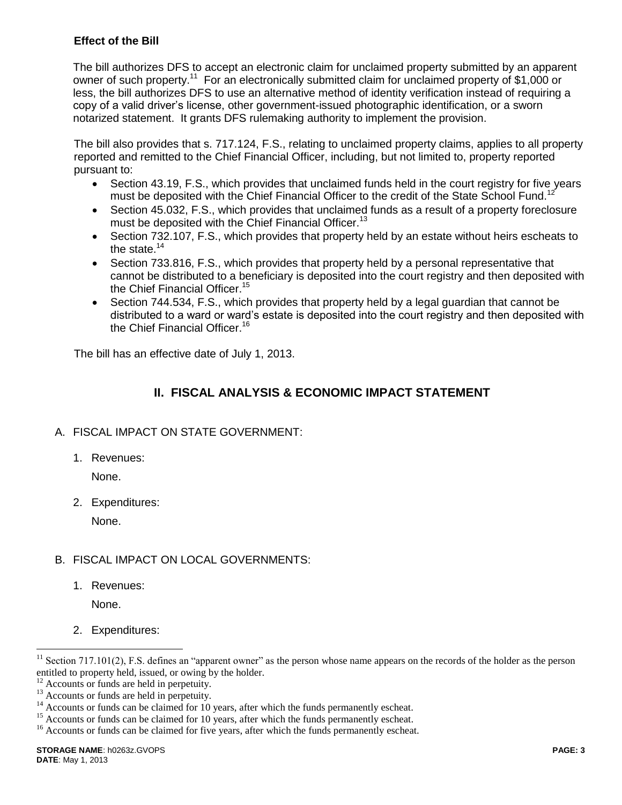#### **Effect of the Bill**

The bill authorizes DFS to accept an electronic claim for unclaimed property submitted by an apparent owner of such property.<sup>11</sup> For an electronically submitted claim for unclaimed property of \$1,000 or less, the bill authorizes DFS to use an alternative method of identity verification instead of requiring a copy of a valid driver's license, other government-issued photographic identification, or a sworn notarized statement. It grants DFS rulemaking authority to implement the provision.

The bill also provides that s. 717.124, F.S., relating to unclaimed property claims, applies to all property reported and remitted to the Chief Financial Officer, including, but not limited to, property reported pursuant to:

- Section 43.19, F.S., which provides that unclaimed funds held in the court registry for five years must be deposited with the Chief Financial Officer to the credit of the State School Fund.<sup>12</sup>
- Section 45.032, F.S., which provides that unclaimed funds as a result of a property foreclosure must be deposited with the Chief Financial Officer.<sup>13</sup>
- Section 732.107, F.S., which provides that property held by an estate without heirs escheats to the state. $14$
- Section 733.816, F.S., which provides that property held by a personal representative that cannot be distributed to a beneficiary is deposited into the court registry and then deposited with the Chief Financial Officer.<sup>15</sup>
- Section 744.534, F.S., which provides that property held by a legal guardian that cannot be distributed to a ward or ward's estate is deposited into the court registry and then deposited with the Chief Financial Officer.<sup>16</sup>

The bill has an effective date of July 1, 2013.

# **II. FISCAL ANALYSIS & ECONOMIC IMPACT STATEMENT**

# A. FISCAL IMPACT ON STATE GOVERNMENT:

1. Revenues:

None.

2. Expenditures:

None.

# B. FISCAL IMPACT ON LOCAL GOVERNMENTS:

1. Revenues:

None.

 $\overline{a}$ 

2. Expenditures:

<sup>&</sup>lt;sup>11</sup> Section 717.101(2), F.S. defines an "apparent owner" as the person whose name appears on the records of the holder as the person entitled to property held, issued, or owing by the holder.

<sup>&</sup>lt;sup>12</sup> Accounts or funds are held in perpetuity.<br><sup>13</sup> Accounts or funds are held in perpetuity.

Accounts or funds are held in perpetuity.

<sup>&</sup>lt;sup>14</sup> Accounts or funds can be claimed for 10 years, after which the funds permanently escheat.

<sup>&</sup>lt;sup>15</sup> Accounts or funds can be claimed for 10 years, after which the funds permanently escheat.

<sup>&</sup>lt;sup>16</sup> Accounts or funds can be claimed for five years, after which the funds permanently escheat.